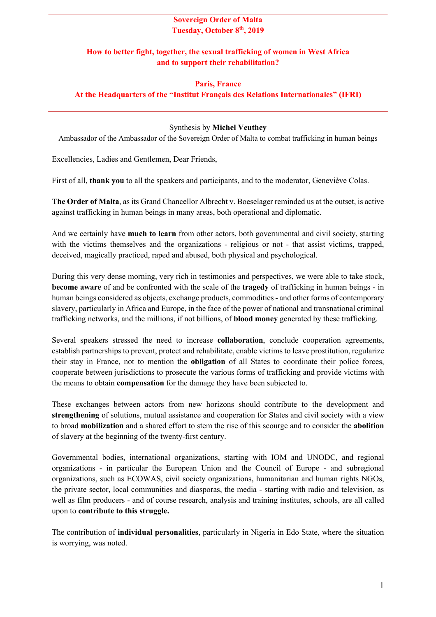## **Sovereign Order of Malta Tuesday, October 8th, 2019**

## **How to better fight, together, the sexual trafficking of women in West Africa and to support their rehabilitation?**

## **Paris, France At the Headquarters of the "Institut Français des Relations Internationales" (IFRI)**

## Synthesis by **Michel Veuthey**

Ambassador of the Ambassador of the Sovereign Order of Malta to combat trafficking in human beings

Excellencies, Ladies and Gentlemen, Dear Friends,

First of all, **thank you** to all the speakers and participants, and to the moderator, Geneviève Colas.

**The Order of Malta**, as its Grand Chancellor Albrecht v. Boeselager reminded us at the outset, is active against trafficking in human beings in many areas, both operational and diplomatic.

And we certainly have **much to learn** from other actors, both governmental and civil society, starting with the victims themselves and the organizations - religious or not - that assist victims, trapped, deceived, magically practiced, raped and abused, both physical and psychological.

During this very dense morning, very rich in testimonies and perspectives, we were able to take stock, **become aware** of and be confronted with the scale of the **tragedy** of trafficking in human beings - in human beings considered as objects, exchange products, commodities - and other forms of contemporary slavery, particularly in Africa and Europe, in the face of the power of national and transnational criminal trafficking networks, and the millions, if not billions, of **blood money** generated by these trafficking.

Several speakers stressed the need to increase **collaboration**, conclude cooperation agreements, establish partnerships to prevent, protect and rehabilitate, enable victims to leave prostitution, regularize their stay in France, not to mention the **obligation** of all States to coordinate their police forces, cooperate between jurisdictions to prosecute the various forms of trafficking and provide victims with the means to obtain **compensation** for the damage they have been subjected to.

These exchanges between actors from new horizons should contribute to the development and **strengthening** of solutions, mutual assistance and cooperation for States and civil society with a view to broad **mobilization** and a shared effort to stem the rise of this scourge and to consider the **abolition** of slavery at the beginning of the twenty-first century.

Governmental bodies, international organizations, starting with IOM and UNODC, and regional organizations - in particular the European Union and the Council of Europe - and subregional organizations, such as ECOWAS, civil society organizations, humanitarian and human rights NGOs, the private sector, local communities and diasporas, the media - starting with radio and television, as well as film producers - and of course research, analysis and training institutes, schools, are all called upon to **contribute to this struggle.** 

The contribution of **individual personalities**, particularly in Nigeria in Edo State, where the situation is worrying, was noted.